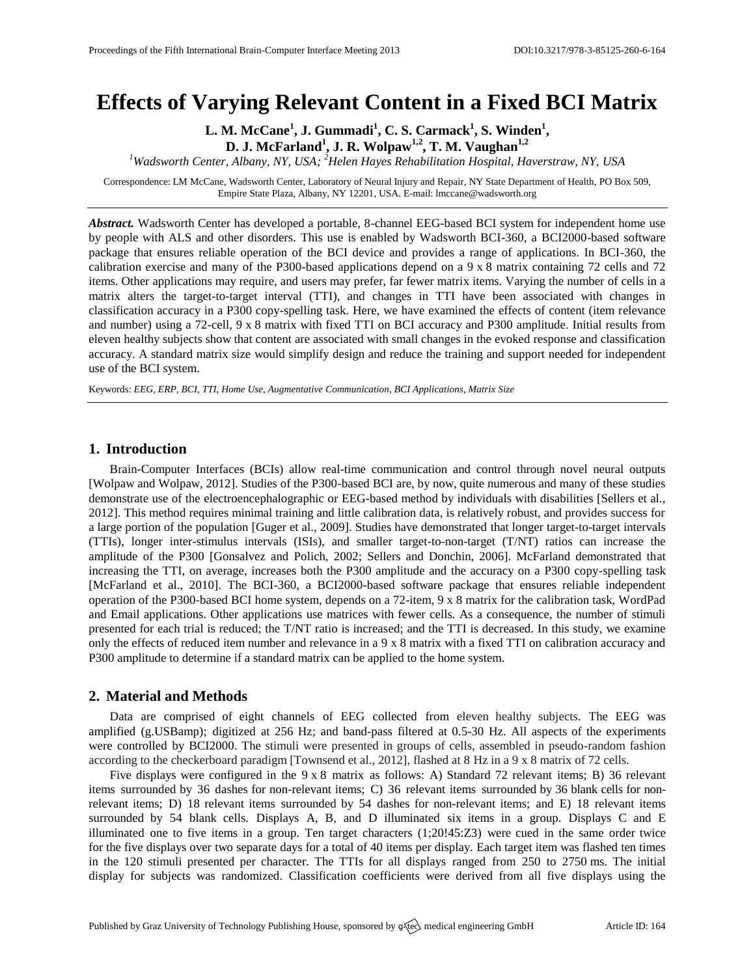# **Effects of Varying Relevant Content in a Fixed BCI Matrix**

**L. M. McCane<sup>1</sup> , J. Gummadi<sup>1</sup> , C. S. Carmack<sup>1</sup> , S. Winden<sup>1</sup> , D. J. McFarland<sup>1</sup> , J. R. Wolpaw1,2 , T. M. Vaughan1,2**

*<sup>1</sup>Wadsworth Center, Albany, NY, USA; <sup>2</sup>Helen Hayes Rehabilitation Hospital, Haverstraw, NY, USA*

Correspondence: LM McCane, Wadsworth Center, Laboratory of Neural Injury and Repair, NY State Department of Health, PO Box 509, Empire State Plaza, Albany, NY 12201, USA. E-mail[: lmccane@wadsworth.org](mailto:lmccane@wadsworth.org)

*Abstract.* Wadsworth Center has developed a portable, 8-channel EEG-based BCI system for independent home use by people with ALS and other disorders. This use is enabled by Wadsworth BCI-360, a BCI2000-based software package that ensures reliable operation of the BCI device and provides a range of applications. In BCI-360, the calibration exercise and many of the P300-based applications depend on a 9 x 8 matrix containing 72 cells and 72 items. Other applications may require, and users may prefer, far fewer matrix items. Varying the number of cells in a matrix alters the target-to-target interval (TTI), and changes in TTI have been associated with changes in classification accuracy in a P300 copy-spelling task. Here, we have examined the effects of content (item relevance and number) using a 72-cell, 9 x 8 matrix with fixed TTI on BCI accuracy and P300 amplitude. Initial results from eleven healthy subjects show that content are associated with small changes in the evoked response and classification accuracy. A standard matrix size would simplify design and reduce the training and support needed for independent use of the BCI system.

Keywords: *EEG, ERP, BCI, TTI, Home Use, Augmentative Communication, BCI Applications, Matrix Size*

## **1. Introduction**

Brain-Computer Interfaces (BCIs) allow real-time communication and control through novel neural outputs [Wolpaw and Wolpaw, 2012]. Studies of the P300-based BCI are, by now, quite numerous and many of these studies demonstrate use of the electroencephalographic or EEG-based method by individuals with disabilities [Sellers et al., 2012]. This method requires minimal training and little calibration data, is relatively robust, and provides success for a large portion of the population [Guger et al., 2009]. Studies have demonstrated that longer target-to-target intervals (TTIs), longer inter-stimulus intervals (ISIs), and smaller target-to-non-target (T/NT) ratios can increase the amplitude of the P300 [Gonsalvez and Polich, 2002; Sellers and Donchin, 2006]. McFarland demonstrated that increasing the TTI, on average, increases both the P300 amplitude and the accuracy on a P300 copy-spelling task [McFarland et al., 2010]. The BCI-360, a BCI2000-based software package that ensures reliable independent operation of the P300-based BCI home system, depends on a 72-item, 9 x 8 matrix for the calibration task, WordPad and Email applications. Other applications use matrices with fewer cells. As a consequence, the number of stimuli presented for each trial is reduced; the T/NT ratio is increased; and the TTI is decreased. In this study, we examine only the effects of reduced item number and relevance in a 9 x 8 matrix with a fixed TTI on calibration accuracy and P300 amplitude to determine if a standard matrix can be applied to the home system.

# **2. Material and Methods**

Data are comprised of eight channels of EEG collected from eleven healthy subjects. The EEG was amplified (g.USBamp); digitized at 256 Hz; and band-pass filtered at 0.5-30 Hz. All aspects of the experiments were controlled by BCI2000. The stimuli were presented in groups of cells, assembled in pseudo-random fashion according to the checkerboard paradigm [Townsend et al., 2012], flashed at 8 Hz in a 9 x 8 matrix of 72 cells.

Five displays were configured in the 9 x 8 matrix as follows: A) Standard 72 relevant items; B) 36 relevant items surrounded by 36 dashes for non-relevant items; C) 36 relevant items surrounded by 36 blank cells for nonrelevant items; D) 18 relevant items surrounded by 54 dashes for non-relevant items; and E) 18 relevant items surrounded by 54 blank cells. Displays A, B, and D illuminated six items in a group. Displays C and E illuminated one to five items in a group. Ten target characters (1;20!45:Z3) were cued in the same order twice for the five displays over two separate days for a total of 40 items per display. Each target item was flashed ten times in the 120 stimuli presented per character. The TTIs for all displays ranged from 250 to 2750 ms. The initial display for subjects was randomized. Classification coefficients were derived from all five displays using the